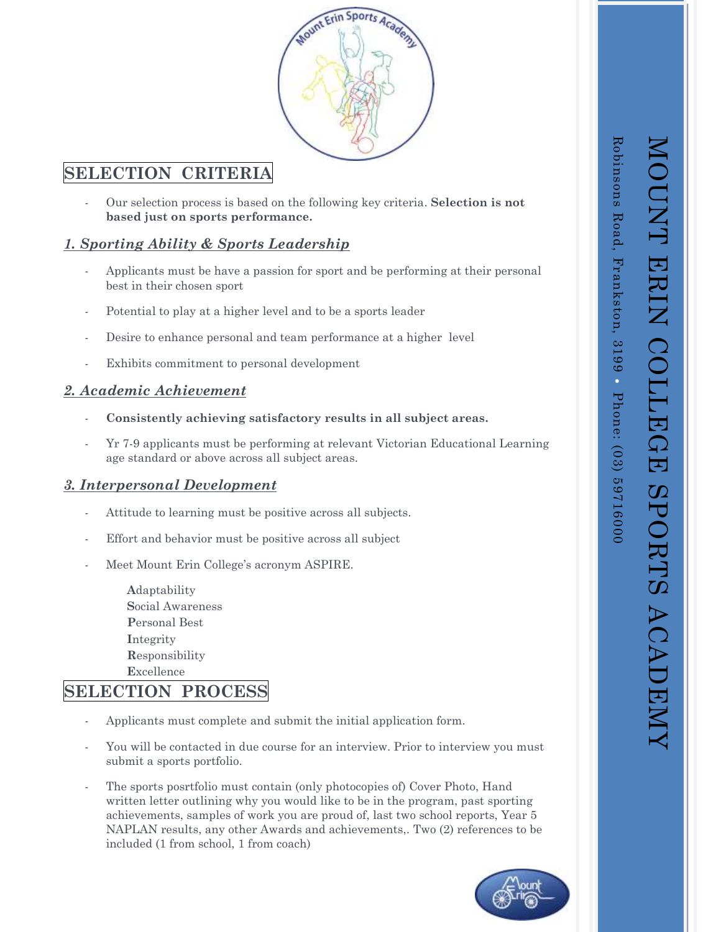

# **SELECTION CRITERIA**

- Our selection process is based on the following key criteria. **Selection is not based just on sports performance.**

## *1. Sporting Ability & Sports Leadership*

- Applicants must be have a passion for sport and be performing at their personal best in their chosen sport
- Potential to play at a higher level and to be a sports leader
- Desire to enhance personal and team performance at a higher level
- Exhibits commitment to personal development

#### *2. Academic Achievement*

- **Consistently achieving satisfactory results in all subject areas.**
- Yr 7-9 applicants must be performing at relevant Victorian Educational Learning age standard or above across all subject areas.

## *3. Interpersonal Development*

- Attitude to learning must be positive across all subjects.
- Effort and behavior must be positive across all subject
- Meet Mount Erin College's acronym ASPIRE.

**A**daptability **S**ocial Awareness **P**ersonal Best **I**ntegrity **R**esponsibility **E**xcellence

# **SELECTION PROCESS**

- Applicants must complete and submit the initial application form.
- You will be contacted in due course for an interview. Prior to interview you must submit a sports portfolio.
- The sports posrtfolio must contain (only photocopies of) Cover Photo, Hand written letter outlining why you would like to be in the program, past sporting achievements, samples of work you are proud of, last two school reports, Year 5 NAPLAN results, any other Awards and achievements,. Two (2) references to be included (1 from school, 1 from coach)



MOUNT ERIN COLLEGE SPORTS ACADEMY

MOUNT ERIN COLLEGE SPORTS ACADEMY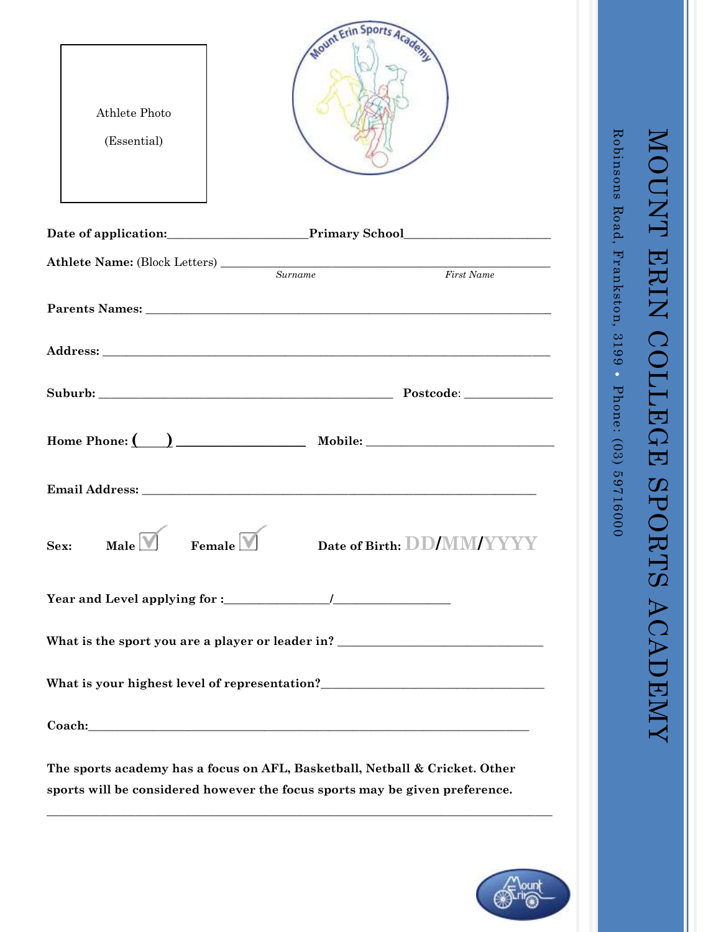| Athlete Photo<br>(Essential)                                                                                                                               | Mount Erin Sports Academy                                                         |  |
|------------------------------------------------------------------------------------------------------------------------------------------------------------|-----------------------------------------------------------------------------------|--|
|                                                                                                                                                            | Date of application: Primary School Primary School                                |  |
|                                                                                                                                                            | Surname<br>First Name                                                             |  |
|                                                                                                                                                            |                                                                                   |  |
|                                                                                                                                                            |                                                                                   |  |
|                                                                                                                                                            |                                                                                   |  |
|                                                                                                                                                            |                                                                                   |  |
|                                                                                                                                                            | Email Address: North and South Address:                                           |  |
| Male $\Box$<br>Sex:<br>Female $\Box$                                                                                                                       | Date of Birth: DD/MM/YYYY                                                         |  |
|                                                                                                                                                            |                                                                                   |  |
|                                                                                                                                                            | What is the sport you are a player or leader in? ________________________________ |  |
|                                                                                                                                                            |                                                                                   |  |
|                                                                                                                                                            |                                                                                   |  |
| The sports academy has a focus on AFL, Basketball, Netball & Cricket. Other<br>sports will be considered however the focus sports may be given preference. |                                                                                   |  |



Robinsons Road, Frankston, 3199

Robinsons Road, Frankston, 3199 • Phone: (03) 59716000

Phone: (03) 59716000